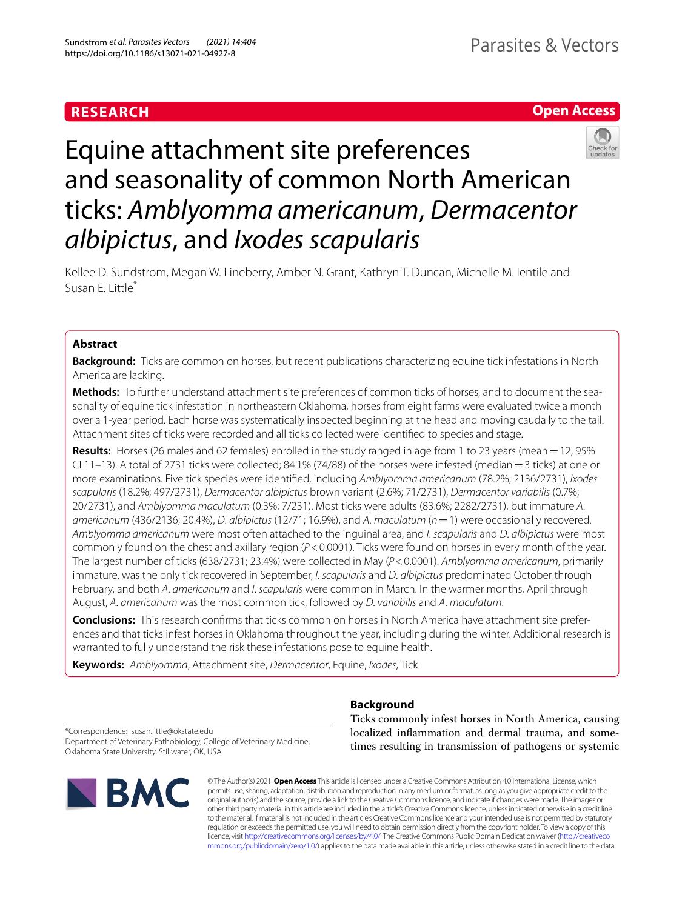# **RESEARCH**

# **Open Access**



# Equine attachment site preferences and seasonality of common North American ticks: *Amblyomma americanum*, *Dermacentor albipictus*, and *Ixodes scapularis*

Kellee D. Sundstrom, Megan W. Lineberry, Amber N. Grant, Kathryn T. Duncan, Michelle M. Ientile and Susan E. Little\*

# **Abstract**

**Background:** Ticks are common on horses, but recent publications characterizing equine tick infestations in North America are lacking.

**Methods:** To further understand attachment site preferences of common ticks of horses, and to document the seasonality of equine tick infestation in northeastern Oklahoma, horses from eight farms were evaluated twice a month over a 1-year period. Each horse was systematically inspected beginning at the head and moving caudally to the tail. Attachment sites of ticks were recorded and all ticks collected were identifed to species and stage.

**Results:** Horses (26 males and 62 females) enrolled in the study ranged in age from 1 to 23 years (mean=12, 95% CI 11–13). A total of 2731 ticks were collected; 84.1% (74/88) of the horses were infested (median=3 ticks) at one or more examinations. Five tick species were identifed, including *Amblyomma americanum* (78.2%; 2136/2731), *Ixodes scapularis* (18.2%; 497/2731), *Dermacentor albipictus* brown variant (2.6%; 71/2731), *Dermacentor variabilis* (0.7%; 20/2731), and *Amblyomma maculatum* (0.3%; 7/231). Most ticks were adults (83.6%; 2282/2731), but immature *A*. *americanum* (436/2136; 20.4%), *D*. *albipictus* (12/71; 16.9%), and *A*. *maculatum* (*n*=1) were occasionally recovered. *Amblyomma americanum* were most often attached to the inguinal area, and *I*. *scapularis* and *D*. *albipictus* were most commonly found on the chest and axillary region (*P*<0.0001). Ticks were found on horses in every month of the year. The largest number of ticks (638/2731; 23.4%) were collected in May (*P*<0.0001). *Amblyomma americanum*, primarily immature, was the only tick recovered in September, *I*. *scapularis* and *D*. *albipictus* predominated October through February, and both *A*. *americanum* and *I*. *scapularis* were common in March. In the warmer months, April through August, *A*. *americanum* was the most common tick, followed by *D*. *variabilis* and *A*. *maculatum*.

**Conclusions:** This research confrms that ticks common on horses in North America have attachment site preferences and that ticks infest horses in Oklahoma throughout the year, including during the winter. Additional research is warranted to fully understand the risk these infestations pose to equine health.

**Keywords:** *Amblyomma*, Attachment site, *Dermacentor*, Equine, *Ixodes*, Tick

# **Background**

\*Correspondence: susan.little@okstate.edu Department of Veterinary Pathobiology, College of Veterinary Medicine, Oklahoma State University, Stillwater, OK, USA



Ticks commonly infest horses in North America, causing localized infammation and dermal trauma, and sometimes resulting in transmission of pathogens or systemic

© The Author(s) 2021. **Open Access** This article is licensed under a Creative Commons Attribution 4.0 International License, which permits use, sharing, adaptation, distribution and reproduction in any medium or format, as long as you give appropriate credit to the original author(s) and the source, provide a link to the Creative Commons licence, and indicate if changes were made. The images or other third party material in this article are included in the article's Creative Commons licence, unless indicated otherwise in a credit line to the material. If material is not included in the article's Creative Commons licence and your intended use is not permitted by statutory regulation or exceeds the permitted use, you will need to obtain permission directly from the copyright holder. To view a copy of this licence, visit [http://creativecommons.org/licenses/by/4.0/.](http://creativecommons.org/licenses/by/4.0/) The Creative Commons Public Domain Dedication waiver ([http://creativeco](http://creativecommons.org/publicdomain/zero/1.0/) [mmons.org/publicdomain/zero/1.0/](http://creativecommons.org/publicdomain/zero/1.0/)) applies to the data made available in this article, unless otherwise stated in a credit line to the data.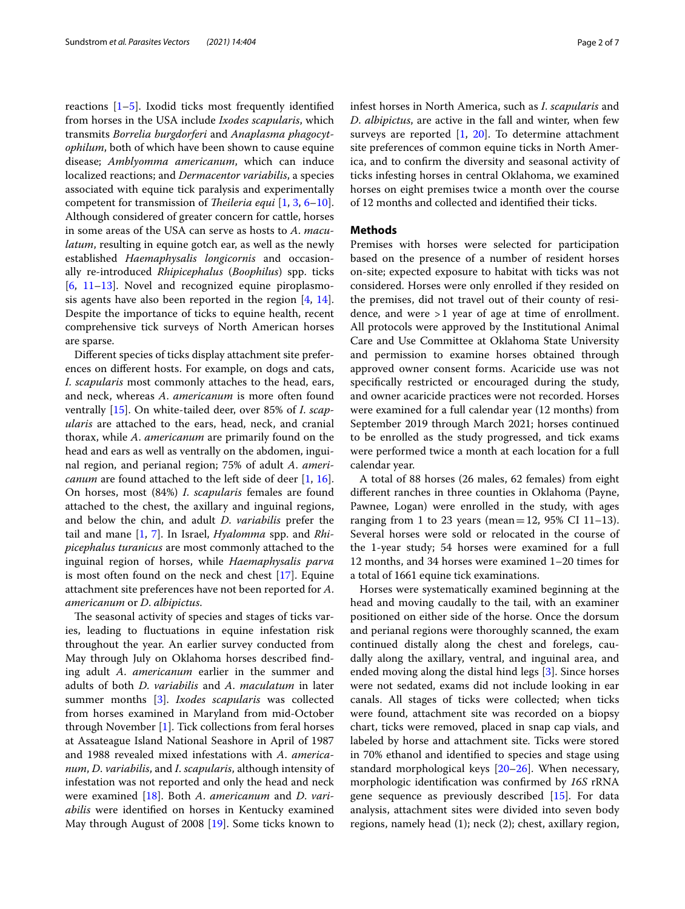reactions  $[1–5]$  $[1–5]$  $[1–5]$  $[1–5]$ . Ixodid ticks most frequently identified from horses in the USA include *Ixodes scapularis*, which transmits *Borrelia burgdorferi* and *Anaplasma phagocytophilum*, both of which have been shown to cause equine disease; *Amblyomma americanum*, which can induce localized reactions; and *Dermacentor variabilis*, a species associated with equine tick paralysis and experimentally competent for transmission of *Theileria equi* [\[1,](#page-5-0) [3,](#page-5-2) [6](#page-5-3)[–10](#page-5-4)]. Although considered of greater concern for cattle, horses in some areas of the USA can serve as hosts to *A*. *maculatum*, resulting in equine gotch ear, as well as the newly established *Haemaphysalis longicornis* and occasionally re-introduced *Rhipicephalus* (*Boophilus*) spp. ticks  $[6, 11–13]$  $[6, 11–13]$  $[6, 11–13]$  $[6, 11–13]$  $[6, 11–13]$ . Novel and recognized equine piroplasmosis agents have also been reported in the region  $[4, 14]$  $[4, 14]$  $[4, 14]$  $[4, 14]$  $[4, 14]$ . Despite the importance of ticks to equine health, recent comprehensive tick surveys of North American horses are sparse.

Diferent species of ticks display attachment site preferences on diferent hosts. For example, on dogs and cats, *I*. *scapularis* most commonly attaches to the head, ears, and neck, whereas *A*. *americanum* is more often found ventrally [[15](#page-5-9)]. On white-tailed deer, over 85% of *I*. *scapularis* are attached to the ears, head, neck, and cranial thorax, while *A*. *americanum* are primarily found on the head and ears as well as ventrally on the abdomen, inguinal region, and perianal region; 75% of adult *A*. *americanum* are found attached to the left side of deer [\[1](#page-5-0), [16](#page-5-10)]. On horses, most (84%) *I*. *scapularis* females are found attached to the chest, the axillary and inguinal regions, and below the chin, and adult *D*. *variabilis* prefer the tail and mane [\[1,](#page-5-0) [7\]](#page-5-11). In Israel, *Hyalomma* spp. and *Rhipicephalus turanicus* are most commonly attached to the inguinal region of horses, while *Haemaphysalis parva* is most often found on the neck and chest [\[17](#page-5-12)]. Equine attachment site preferences have not been reported for *A*. *americanum* or *D*. *albipictus*.

The seasonal activity of species and stages of ticks varies, leading to fuctuations in equine infestation risk throughout the year. An earlier survey conducted from May through July on Oklahoma horses described fnding adult *A*. *americanum* earlier in the summer and adults of both *D*. *variabilis* and *A*. *maculatum* in later summer months [[3\]](#page-5-2). *Ixodes scapularis* was collected from horses examined in Maryland from mid-October through November [\[1](#page-5-0)]. Tick collections from feral horses at Assateague Island National Seashore in April of 1987 and 1988 revealed mixed infestations with *A*. *americanum*, *D*. *variabilis*, and *I*. *scapularis*, although intensity of infestation was not reported and only the head and neck were examined [\[18\]](#page-5-13). Both *A*. *americanum* and *D*. *variabilis* were identifed on horses in Kentucky examined May through August of 2008 [[19\]](#page-5-14). Some ticks known to infest horses in North America, such as *I*. *scapularis* and *D*. *albipictus*, are active in the fall and winter, when few surveys are reported [[1,](#page-5-0) [20](#page-5-15)]. To determine attachment site preferences of common equine ticks in North America, and to confrm the diversity and seasonal activity of ticks infesting horses in central Oklahoma, we examined horses on eight premises twice a month over the course of 12 months and collected and identifed their ticks.

# **Methods**

Premises with horses were selected for participation based on the presence of a number of resident horses on-site; expected exposure to habitat with ticks was not considered. Horses were only enrolled if they resided on the premises, did not travel out of their county of residence, and were >1 year of age at time of enrollment. All protocols were approved by the Institutional Animal Care and Use Committee at Oklahoma State University and permission to examine horses obtained through approved owner consent forms. Acaricide use was not specifcally restricted or encouraged during the study, and owner acaricide practices were not recorded. Horses were examined for a full calendar year (12 months) from September 2019 through March 2021; horses continued to be enrolled as the study progressed, and tick exams were performed twice a month at each location for a full calendar year.

A total of 88 horses (26 males, 62 females) from eight diferent ranches in three counties in Oklahoma (Payne, Pawnee, Logan) were enrolled in the study, with ages ranging from 1 to 23 years (mean = 12, 95% CI 11-13). Several horses were sold or relocated in the course of the 1-year study; 54 horses were examined for a full 12 months, and 34 horses were examined 1–20 times for a total of 1661 equine tick examinations.

Horses were systematically examined beginning at the head and moving caudally to the tail, with an examiner positioned on either side of the horse. Once the dorsum and perianal regions were thoroughly scanned, the exam continued distally along the chest and forelegs, caudally along the axillary, ventral, and inguinal area, and ended moving along the distal hind legs [\[3](#page-5-2)]. Since horses were not sedated, exams did not include looking in ear canals. All stages of ticks were collected; when ticks were found, attachment site was recorded on a biopsy chart, ticks were removed, placed in snap cap vials, and labeled by horse and attachment site. Ticks were stored in 70% ethanol and identifed to species and stage using standard morphological keys [\[20–](#page-5-15)[26\]](#page-6-0). When necessary, morphologic identifcation was confrmed by *16S* rRNA gene sequence as previously described [\[15](#page-5-9)]. For data analysis, attachment sites were divided into seven body regions, namely head (1); neck (2); chest, axillary region,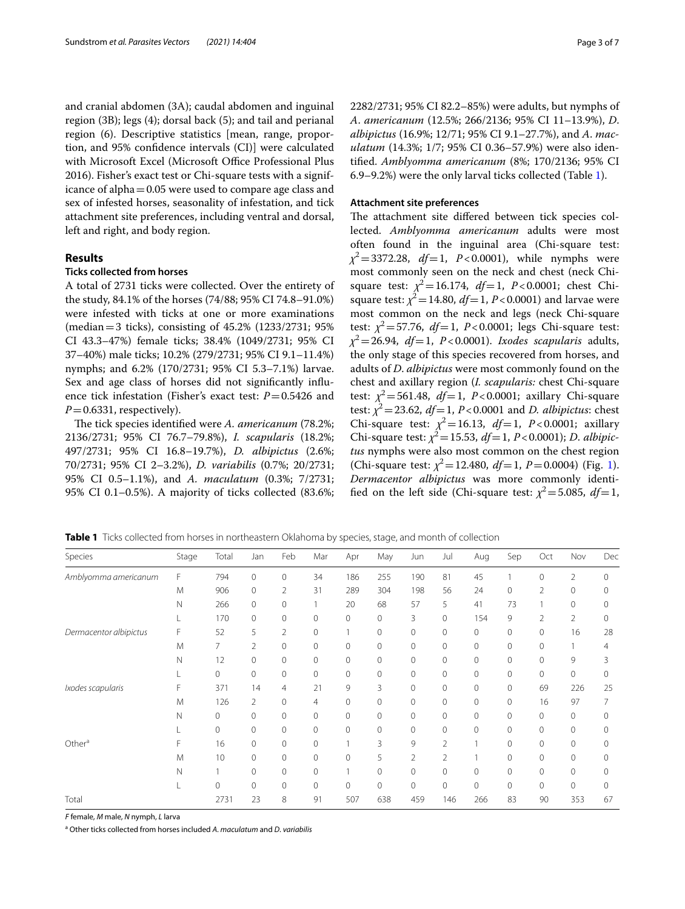and cranial abdomen (3A); caudal abdomen and inguinal region (3B); legs (4); dorsal back (5); and tail and perianal region (6). Descriptive statistics [mean, range, proportion, and 95% confdence intervals (CI)] were calculated with Microsoft Excel (Microsoft Office Professional Plus 2016). Fisher's exact test or Chi-square tests with a significance of alpha=0.05 were used to compare age class and sex of infested horses, seasonality of infestation, and tick attachment site preferences, including ventral and dorsal, left and right, and body region.

# **Results**

# **Ticks collected from horses**

A total of 2731 ticks were collected. Over the entirety of the study, 84.1% of the horses (74/88; 95% CI 74.8–91.0%) were infested with ticks at one or more examinations (median=3 ticks), consisting of 45.2% (1233/2731; 95% CI 43.3–47%) female ticks; 38.4% (1049/2731; 95% CI 37–40%) male ticks; 10.2% (279/2731; 95% CI 9.1–11.4%) nymphs; and 6.2% (170/2731; 95% CI 5.3–7.1%) larvae. Sex and age class of horses did not signifcantly infuence tick infestation (Fisher's exact test:  $P = 0.5426$  and  $P=0.6331$ , respectively).

The tick species identified were *A. americanum* (78.2%; 2136/2731; 95% CI 76.7–79.8%), *I. scapularis* (18.2%; 497/2731; 95% CI 16.8–19.7%), *D. albipictus* (2.6%; 70/2731; 95% CI 2–3.2%), *D. variabilis* (0.7%; 20/2731; 95% CI 0.5–1.1%), and *A. maculatum* (0.3%; 7/2731; 95% CI 0.1–0.5%). A majority of ticks collected (83.6%; 2282/2731; 95% CI 82.2–85%) were adults, but nymphs of *A*. *americanum* (12.5%; 266/2136; 95% CI 11–13.9%), *D*. *albipictus* (16.9%; 12/71; 95% CI 9.1–27.7%), and *A*. *maculatum* (14.3%; 1/7; 95% CI 0.36–57.9%) were also identifed. *Amblyomma americanum* (8%; 170/2136; 95% CI 6.9–9.2%) were the only larval ticks collected (Table [1\)](#page-2-0).

# **Attachment site preferences**

The attachment site differed between tick species collected. *Amblyomma americanum* adults were most often found in the inguinal area (Chi-square test: *χ*<sup>2</sup> = 3372.28, *df* = 1, *P* < 0.0001), while nymphs were most commonly seen on the neck and chest (neck Chisquare test:  $\chi^2 = 16.174$ ,  $df = 1$ ,  $P < 0.0001$ ; chest Chisquare test:  $\chi^2$  = 14.80, *df* = 1, *P* < 0.0001) and larvae were most common on the neck and legs (neck Chi-square test:  $\chi^2$  = 57.76, *df* = 1, *P* < 0.0001; legs Chi-square test: *χ*<sup>2</sup>=26.94, *df*=1, *P*<0.0001). *Ixodes scapularis* adults, the only stage of this species recovered from horses, and adults of *D*. *albipictus* were most commonly found on the chest and axillary region (*I. scapularis:* chest Chi-square test:  $\chi^2$  = 561.48, *df* = 1, *P* < 0.0001; axillary Chi-square test:  $\chi^2$  = 23.62, *df* = 1, *P* < 0.0001 and *D. albipictus*: chest Chi-square test:  $\chi^2 = 16.13$ ,  $df = 1$ ,  $P < 0.0001$ ; axillary Chi-square test:  $\chi^2 = 15.53$ ,  $df = 1$ ,  $P < 0.0001$ ); *D. albipictus* nymphs were also most common on the chest region (Chi-square test:  $\chi^2$  = [1](#page-3-0)2.480, *df* = 1, *P* = 0.0004) (Fig. 1). *Dermacentor albipictus* was more commonly identified on the left side (Chi-square test:  $\chi^2$  = 5.085, *df* = 1,

| Species                | Stage       | Total          | Jan            | Feb            | Mar | Apr          | May         | Jun            | Jul            | Aug         | Sep      | Oct            | Nov            | Dec |
|------------------------|-------------|----------------|----------------|----------------|-----|--------------|-------------|----------------|----------------|-------------|----------|----------------|----------------|-----|
| Amblyomma americanum   | F           | 794            | 0              | $\mathbf 0$    | 34  | 186          | 255         | 190            | 81             | 45          |          | $\mathbf{0}$   | $\overline{2}$ | 0   |
|                        | M           | 906            | 0              | 2              | 31  | 289          | 304         | 198            | 56             | 24          | 0        | $\overline{2}$ | 0              |     |
|                        | N           | 266            | 0              | 0              |     | 20           | 68          | 57             | 5              | 41          | 73       |                | 0              |     |
|                        |             | 170            | $\Omega$       | $\mathbf{0}$   | 0   | $\circ$      | 0           | 3              | $\mathbf 0$    | 154         | 9        | $\overline{2}$ | $\overline{2}$ | 0   |
| Dermacentor albipictus | F           | 52             | 5              | $\overline{2}$ | 0   |              | 0           | $\Omega$       | $\mathbf{0}$   | 0           | 0        | $\circ$        | 16             | 28  |
|                        | M           | $\overline{7}$ | $\overline{2}$ | $\Omega$       | 0   | $\mathbf{0}$ | $\Omega$    | $\Omega$       | $\Omega$       | $\Omega$    | $\Omega$ | $\Omega$       |                | 4   |
|                        | N           | 12             | 0              | 0              | 0   | $\mathbf{0}$ | 0           | $\Omega$       | $\mathbf{0}$   | $\mathbf 0$ | 0        | $\circ$        | 9              | 3   |
|                        |             | 0              | $\mathbf 0$    | $\mathbf 0$    | 0   | $\mathbf{0}$ | 0           | $\Omega$       | $\mathbf 0$    | $\mathbf 0$ | 0        | $\mathbf 0$    | $\mathbf 0$    |     |
| Ixodes scapularis      | F           | 371            | 14             | 4              | 21  | 9            | 3           | $\Omega$       | 0              | $\Omega$    | $\Omega$ | 69             | 226            | 25  |
|                        | M           | 126            | $\overline{2}$ | $\mathbf 0$    | 4   | $\mathbf{0}$ | $\mathbf 0$ | $\Omega$       | $\mathbf 0$    | $\mathbf 0$ | 0        | 16             | 97             |     |
|                        | N           | 0              | $\Omega$       | 0              | 0   | $\mathbf{0}$ | 0           | $\Omega$       | $\Omega$       | $\Omega$    | $\Omega$ | $\circ$        | 0              | 0   |
|                        |             | 0              | $\mathbf 0$    | $\mathbf 0$    | 0   | $\mathbf{0}$ | 0           | $\Omega$       | $\mathbf 0$    | $\mathbf 0$ | 0        | $\mathbf{0}$   | $\mathbf{0}$   |     |
| Other <sup>a</sup>     | F           | 16             | $\Omega$       | $\Omega$       | 0   |              | 3           | 9              | $\overline{2}$ |             | 0        | $\mathbf{0}$   | $\Omega$       |     |
|                        | M           | 10             | 0              | 0              | 0   | 0            | 5           | $\overline{2}$ | $\overline{2}$ |             | 0        | $\mathbf{0}$   | 0              |     |
|                        | $\mathbb N$ |                | $\Omega$       | $\Omega$       | 0   |              | $\Omega$    | $\Omega$       | $\Omega$       | $\Omega$    | 0        | $\mathbf 0$    | $\Omega$       |     |
|                        |             | $\Omega$       | $\Omega$       | $\Omega$       | 0   | $\mathbf{0}$ | 0           | $\Omega$       | 0              | 0           | $\Omega$ | $\circ$        | $\Omega$       |     |
| Total                  |             | 2731           | 23             | 8              | 91  | 507          | 638         | 459            | 146            | 266         | 83       | 90             | 353            | 67  |

<span id="page-2-0"></span>**Table 1** Ticks collected from horses in northeastern Oklahoma by species, stage, and month of collection

*F* female, *M* male, *N* nymph, *L* larva

a Other ticks collected from horses included *A*. *maculatum* and *D*. *variabilis*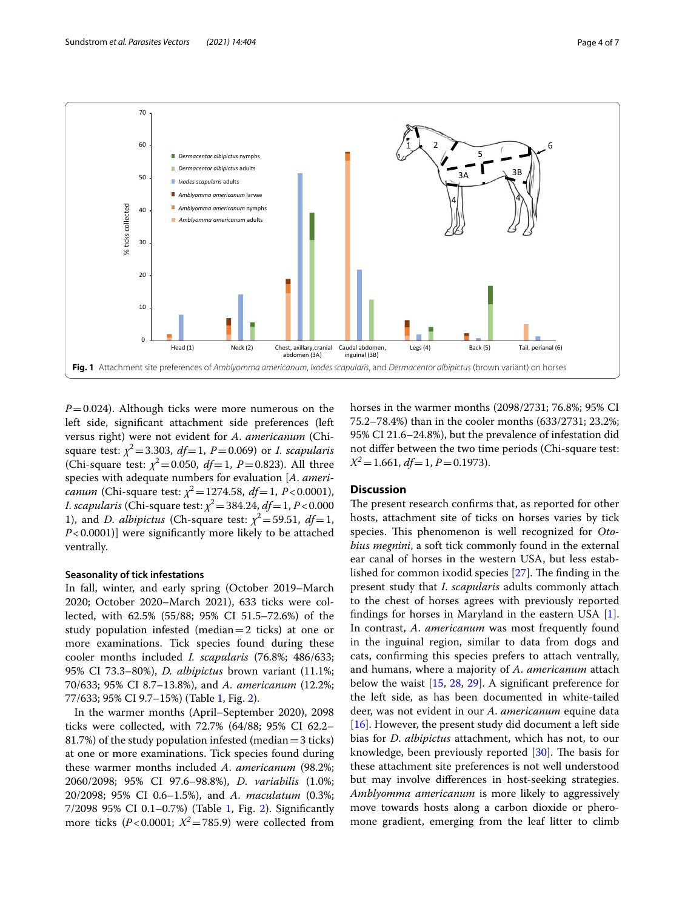

<span id="page-3-0"></span> $P=0.024$ ). Although ticks were more numerous on the left side, signifcant attachment side preferences (left versus right) were not evident for *A*. *americanum* (Chisquare test:  $\chi^2$  = 3.303, *df* = 1, *P* = 0.069) or *I*. *scapularis* (Chi-square test:  $\chi^2$  = 0.050, *df* = 1, *P* = 0.823). All three species with adequate numbers for evaluation [*A*. *americanum* (Chi-square test:  $\chi^2$  = 1274.58, *df* = 1, *P* < 0.0001), *I*. *scapularis* (Chi-square test:  $\chi^2 = 384.24$ , *df* = 1, *P* < 0.000 1), and *D. albipictus* (Ch-square test:  $\chi^2 = 59.51$ ,  $df = 1$ , *P*<0.0001)] were significantly more likely to be attached ventrally.

# **Seasonality of tick infestations**

In fall, winter, and early spring (October 2019–March 2020; October 2020–March 2021), 633 ticks were collected, with 62.5% (55/88; 95% CI 51.5–72.6%) of the study population infested (median $=$ 2 ticks) at one or more examinations. Tick species found during these cooler months included *I. scapularis* (76.8%; 486/633; 95% CI 73.3–80%), *D. albipictus* brown variant (11.1%; 70/633; 95% CI 8.7–13.8%), and *A. americanum* (12.2%; 77/633; 95% CI 9.7–15%) (Table [1,](#page-2-0) Fig. [2](#page-4-0)).

In the warmer months (April–September 2020), 2098 ticks were collected, with 72.7% (64/88; 95% CI 62.2– 81.7%) of the study population infested (median=3 ticks) at one or more examinations. Tick species found during these warmer months included *A*. *americanum* (98.2%; 2060/2098; 95% CI 97.6–98.8%), *D*. *variabilis* (1.0%; 20/2098; 95% CI 0.6–1.5%), and *A*. *maculatum* (0.3%; 7/2098 95% CI 0.1–0.7%) (Table [1](#page-2-0), Fig. [2\)](#page-4-0). Signifcantly more ticks ( $P < 0.0001$ ;  $X^2 = 785.9$ ) were collected from horses in the warmer months (2098/2731; 76.8%; 95% CI 75.2–78.4%) than in the cooler months (633/2731; 23.2%; 95% CI 21.6–24.8%), but the prevalence of infestation did not difer between the two time periods (Chi-square test: *X<sup>2</sup>*=1.661, *df*=1, *P*=0.1973).

# **Discussion**

The present research confirms that, as reported for other hosts, attachment site of ticks on horses varies by tick species. This phenomenon is well recognized for *Otobius megnini*, a soft tick commonly found in the external ear canal of horses in the western USA, but less established for common ixodid species  $[27]$  $[27]$ . The finding in the present study that *I*. *scapularis* adults commonly attach to the chest of horses agrees with previously reported fndings for horses in Maryland in the eastern USA [\[1](#page-5-0)]. In contrast, *A*. *americanum* was most frequently found in the inguinal region, similar to data from dogs and cats, confrming this species prefers to attach ventrally, and humans, where a majority of *A*. *americanum* attach below the waist [[15,](#page-5-9) [28](#page-6-2), [29](#page-6-3)]. A signifcant preference for the left side, as has been documented in white-tailed deer, was not evident in our *A*. *americanum* equine data [[16\]](#page-5-10). However, the present study did document a left side bias for *D*. *albipictus* attachment, which has not, to our knowledge, been previously reported  $[30]$  $[30]$ . The basis for these attachment site preferences is not well understood but may involve diferences in host-seeking strategies. *Amblyomma americanum* is more likely to aggressively move towards hosts along a carbon dioxide or pheromone gradient, emerging from the leaf litter to climb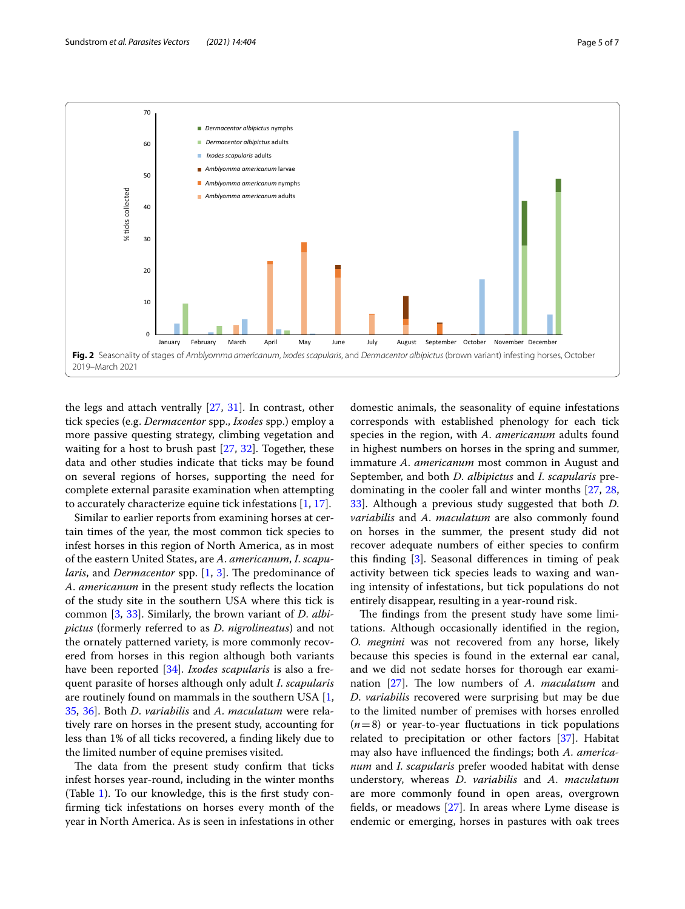

<span id="page-4-0"></span>the legs and attach ventrally [\[27](#page-6-1), [31\]](#page-6-5). In contrast, other tick species (e.g. *Dermacentor* spp., *Ixodes* spp.) employ a more passive questing strategy, climbing vegetation and waiting for a host to brush past [\[27](#page-6-1), [32](#page-6-6)]. Together, these data and other studies indicate that ticks may be found on several regions of horses, supporting the need for complete external parasite examination when attempting to accurately characterize equine tick infestations [\[1](#page-5-0), [17\]](#page-5-12).

Similar to earlier reports from examining horses at certain times of the year, the most common tick species to infest horses in this region of North America, as in most of the eastern United States, are *A*. *americanum*, *I*. *scapularis*, and *Dermacentor* spp. [\[1](#page-5-0), [3](#page-5-2)]. The predominance of *A*. *americanum* in the present study refects the location of the study site in the southern USA where this tick is common [[3,](#page-5-2) [33\]](#page-6-7). Similarly, the brown variant of *D*. *albipictus* (formerly referred to as *D*. *nigrolineatus*) and not the ornately patterned variety, is more commonly recovered from horses in this region although both variants have been reported [[34\]](#page-6-8). *Ixodes scapularis* is also a frequent parasite of horses although only adult *I*. *scapularis* are routinely found on mammals in the southern USA [\[1](#page-5-0), [35,](#page-6-9) [36\]](#page-6-10). Both *D*. *variabilis* and *A*. *maculatum* were relatively rare on horses in the present study, accounting for less than 1% of all ticks recovered, a fnding likely due to the limited number of equine premises visited.

The data from the present study confirm that ticks infest horses year-round, including in the winter months (Table [1\)](#page-2-0). To our knowledge, this is the frst study confrming tick infestations on horses every month of the year in North America. As is seen in infestations in other

domestic animals, the seasonality of equine infestations corresponds with established phenology for each tick species in the region, with *A*. *americanum* adults found in highest numbers on horses in the spring and summer, immature *A*. *americanum* most common in August and September, and both *D*. *albipictus* and *I*. *scapularis* predominating in the cooler fall and winter months [\[27](#page-6-1), [28](#page-6-2), [33\]](#page-6-7). Although a previous study suggested that both *D*. *variabilis* and *A*. *maculatum* are also commonly found on horses in the summer, the present study did not recover adequate numbers of either species to confrm this fnding [\[3](#page-5-2)]. Seasonal diferences in timing of peak activity between tick species leads to waxing and waning intensity of infestations, but tick populations do not entirely disappear, resulting in a year-round risk.

The findings from the present study have some limitations. Although occasionally identifed in the region, *O. megnini* was not recovered from any horse, likely because this species is found in the external ear canal, and we did not sedate horses for thorough ear exami-nation [[27](#page-6-1)]. The low numbers of *A. maculatum* and *D*. *variabilis* recovered were surprising but may be due to the limited number of premises with horses enrolled (*n*=8) or year-to-year fuctuations in tick populations related to precipitation or other factors [\[37](#page-6-11)]. Habitat may also have infuenced the fndings; both *A*. *americanum* and *I*. *scapularis* prefer wooded habitat with dense understory, whereas *D*. *variabilis* and *A*. *maculatum* are more commonly found in open areas, overgrown felds, or meadows [[27](#page-6-1)]. In areas where Lyme disease is endemic or emerging, horses in pastures with oak trees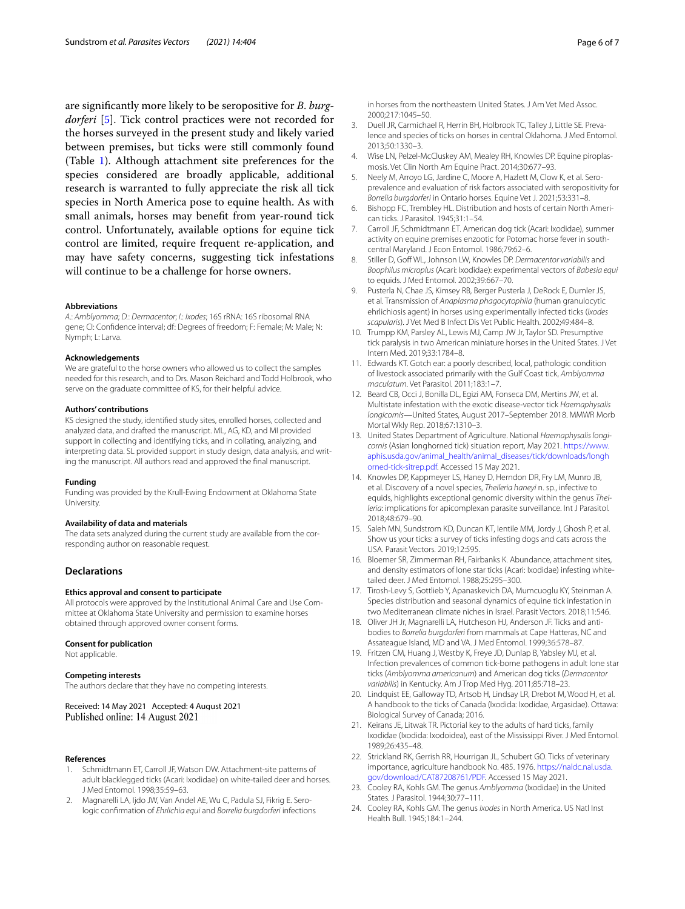are signifcantly more likely to be seropositive for *B*. *burgdorferi* [[5\]](#page-5-1). Tick control practices were not recorded for the horses surveyed in the present study and likely varied between premises, but ticks were still commonly found (Table [1](#page-2-0)). Although attachment site preferences for the species considered are broadly applicable, additional research is warranted to fully appreciate the risk all tick species in North America pose to equine health. As with small animals, horses may beneft from year-round tick control. Unfortunately, available options for equine tick control are limited, require frequent re-application, and may have safety concerns, suggesting tick infestations will continue to be a challenge for horse owners.

# **Abbreviations**

*A*.: *Amblyomma*; *D.*: *Dermacentor*; *I*.: *Ixodes*; 16S rRNA: 16S ribosomal RNA gene; CI: Confdence interval; df: Degrees of freedom; F: Female; M: Male; N: Nymph; L: Larva.

# **Acknowledgements**

We are grateful to the horse owners who allowed us to collect the samples needed for this research, and to Drs. Mason Reichard and Todd Holbrook, who serve on the graduate committee of KS, for their helpful advice.

#### **Authors' contributions**

KS designed the study, identifed study sites, enrolled horses, collected and analyzed data, and drafted the manuscript. ML, AG, KD, and MI provided support in collecting and identifying ticks, and in collating, analyzing, and interpreting data. SL provided support in study design, data analysis, and writing the manuscript. All authors read and approved the fnal manuscript.

## **Funding**

Funding was provided by the Krull-Ewing Endowment at Oklahoma State University.

# **Availability of data and materials**

The data sets analyzed during the current study are available from the corresponding author on reasonable request.

# **Declarations**

# **Ethics approval and consent to participate**

All protocols were approved by the Institutional Animal Care and Use Committee at Oklahoma State University and permission to examine horses obtained through approved owner consent forms.

## **Consent for publication**

Not applicable.

## **Competing interests**

The authors declare that they have no competing interests.

Received: 14 May 2021 Accepted: 4 August 2021 Published online: 14 August 2021

# **References**

- <span id="page-5-0"></span>Schmidtmann ET, Carroll JF, Watson DW. Attachment-site patterns of adult blacklegged ticks (Acari: Ixodidae) on white-tailed deer and horses. J Med Entomol. 1998;35:59–63.
- 2. Magnarelli LA, Ijdo JW, Van Andel AE, Wu C, Padula SJ, Fikrig E. Serologic confrmation of *Ehrlichia equi* and *Borrelia burgdorferi* infections

in horses from the northeastern United States. J Am Vet Med Assoc. 2000;217:1045–50.

- <span id="page-5-2"></span>3. Duell JR, Carmichael R, Herrin BH, Holbrook TC, Talley J, Little SE. Prevalence and species of ticks on horses in central Oklahoma. J Med Entomol. 2013;50:1330–3.
- <span id="page-5-7"></span>Wise LN, Pelzel-McCluskey AM, Mealey RH, Knowles DP. Equine piroplasmosis. Vet Clin North Am Equine Pract. 2014;30:677–93.
- <span id="page-5-1"></span>5. Neely M, Arroyo LG, Jardine C, Moore A, Hazlett M, Clow K, et al. Seroprevalence and evaluation of risk factors associated with seropositivity for *Borrelia burgdorferi* in Ontario horses. Equine Vet J. 2021;53:331–8.
- <span id="page-5-3"></span>6. Bishopp FC, Trembley HL. Distribution and hosts of certain North American ticks. J Parasitol. 1945;31:1–54.
- <span id="page-5-11"></span>7. Carroll JF, Schmidtmann ET. American dog tick (Acari: Ixodidae), summer activity on equine premises enzootic for Potomac horse fever in southcentral Maryland. J Econ Entomol. 1986;79:62–6.
- 8. Stiller D, Goff WL, Johnson LW, Knowles DP. *Dermacentor variabilis* and *Boophilus microplus* (Acari: Ixodidae): experimental vectors of *Babesia equi* to equids. J Med Entomol. 2002;39:667–70.
- 9. Pusterla N, Chae JS, Kimsey RB, Berger Pusterla J, DeRock E, Dumler JS, et al. Transmission of *Anaplasma phagocytophila* (human granulocytic ehrlichiosis agent) in horses using experimentally infected ticks (*Ixodes scapularis*). J Vet Med B Infect Dis Vet Public Health. 2002;49:484–8.
- <span id="page-5-4"></span>10. Trumpp KM, Parsley AL, Lewis MJ, Camp JW Jr, Taylor SD. Presumptive tick paralysis in two American miniature horses in the United States. J Vet Intern Med. 2019;33:1784–8.
- <span id="page-5-5"></span>11. Edwards KT. Gotch ear: a poorly described, local, pathologic condition of livestock associated primarily with the Gulf Coast tick, *Amblyomma maculatum*. Vet Parasitol. 2011;183:1–7.
- 12. Beard CB, Occi J, Bonilla DL, Egizi AM, Fonseca DM, Mertins JW, et al. Multistate infestation with the exotic disease-vector tick *Haemaphysalis longicornis*—United States, August 2017–September 2018. MMWR Morb Mortal Wkly Rep. 2018;67:1310–3.
- <span id="page-5-6"></span>13. United States Department of Agriculture. National *Haemaphysalis longicornis* (Asian longhorned tick) situation report, May 2021. [https://www.](https://www.aphis.usda.gov/animal_health/animal_diseases/tick/downloads/longhorned-tick-sitrep.pdf) [aphis.usda.gov/animal\\_health/animal\\_diseases/tick/downloads/longh](https://www.aphis.usda.gov/animal_health/animal_diseases/tick/downloads/longhorned-tick-sitrep.pdf) [orned-tick-sitrep.pdf](https://www.aphis.usda.gov/animal_health/animal_diseases/tick/downloads/longhorned-tick-sitrep.pdf). Accessed 15 May 2021.
- <span id="page-5-8"></span>14. Knowles DP, Kappmeyer LS, Haney D, Herndon DR, Fry LM, Munro JB, et al. Discovery of a novel species, *Theileria haneyi* n. sp., infective to equids, highlights exceptional genomic diversity within the genus *Theileria*: implications for apicomplexan parasite surveillance. Int J Parasitol. 2018;48:679–90.
- <span id="page-5-9"></span>15. Saleh MN, Sundstrom KD, Duncan KT, Ientile MM, Jordy J, Ghosh P, et al. Show us your ticks: a survey of ticks infesting dogs and cats across the USA. Parasit Vectors. 2019;12:595.
- <span id="page-5-10"></span>16. Bloemer SR, Zimmerman RH, Fairbanks K. Abundance, attachment sites, and density estimators of lone star ticks (Acari: Ixodidae) infesting whitetailed deer. J Med Entomol. 1988;25:295–300.
- <span id="page-5-12"></span>17. Tirosh-Levy S, Gottlieb Y, Apanaskevich DA, Mumcuoglu KY, Steinman A. Species distribution and seasonal dynamics of equine tick infestation in two Mediterranean climate niches in Israel. Parasit Vectors. 2018;11:546.
- <span id="page-5-13"></span>18. Oliver JH Jr, Magnarelli LA, Hutcheson HJ, Anderson JF. Ticks and antibodies to *Borrelia burgdorferi* from mammals at Cape Hatteras, NC and Assateague Island, MD and VA. J Med Entomol. 1999;36:578–87.
- <span id="page-5-14"></span>19. Fritzen CM, Huang J, Westby K, Freye JD, Dunlap B, Yabsley MJ, et al. Infection prevalences of common tick-borne pathogens in adult lone star ticks (*Amblyomma americanum*) and American dog ticks (*Dermacentor variabilis*) in Kentucky. Am J Trop Med Hyg. 2011;85:718–23.
- <span id="page-5-15"></span>20. Lindquist EE, Galloway TD, Artsob H, Lindsay LR, Drebot M, Wood H, et al. A handbook to the ticks of Canada (Ixodida: Ixodidae, Argasidae). Ottawa: Biological Survey of Canada; 2016.
- 21. Keirans JE, Litwak TR. Pictorial key to the adults of hard ticks, family Ixodidae (Ixodida: Ixodoidea), east of the Mississippi River. J Med Entomol. 1989;26:435–48.
- 22. Strickland RK, Gerrish RR, Hourrigan JL, Schubert GO. Ticks of veterinary importance, agriculture handbook No. 485. 1976. [https://naldc.nal.usda.](https://naldc.nal.usda.gov/download/CAT87208761/PDF) [gov/download/CAT87208761/PDF.](https://naldc.nal.usda.gov/download/CAT87208761/PDF) Accessed 15 May 2021.
- 23. Cooley RA, Kohls GM. The genus *Amblyomma* (Ixodidae) in the United States. J Parasitol. 1944;30:77–111.
- 24. Cooley RA, Kohls GM. The genus *Ixodes* in North America. US Natl Inst Health Bull. 1945;184:1–244.